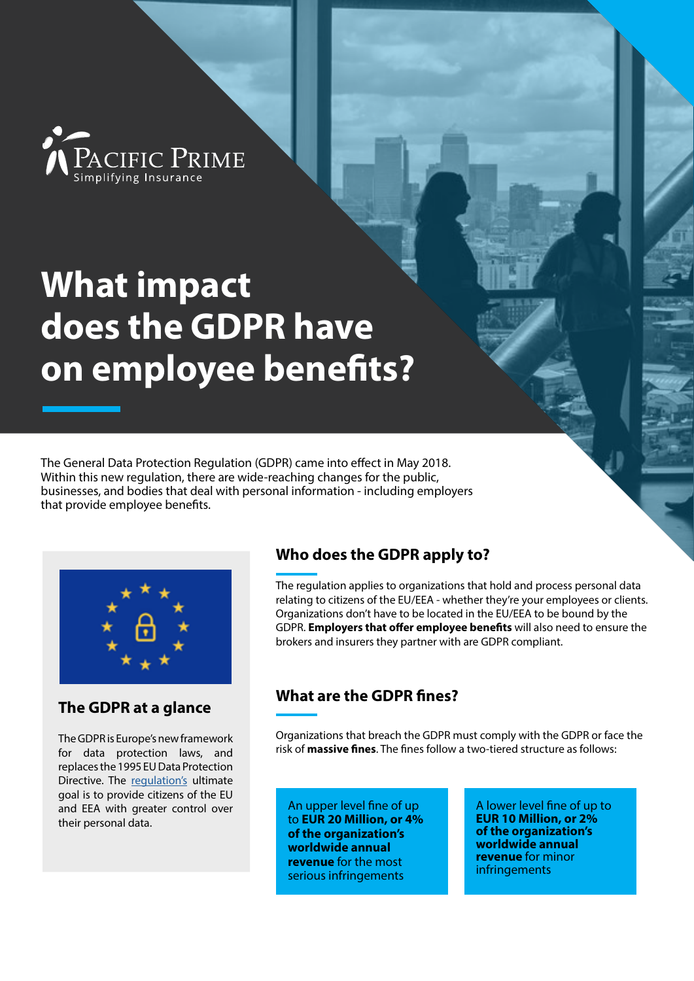PACIFIC PRIME<br><sup>Simplifying Insurance</sup>

# **What impact does the GDPR have on employee benefits?**

The General Data Protection Regulation (GDPR) came into effect in May 2018. Within this new regulation, there are wide-reaching changes for the public, businesses, and bodies that deal with personal information - including employers that provide employee benefits.



### **The GDPR at a glance**

The GDPR is Europe's new framework for data protection laws, and replaces the 1995 EU Data Protection Directive. The [regulation's](https://ec.europa.eu/info/law/law-topic/data-protection_en) ultimate goal is to provide citizens of the EU and EEA with greater control over their personal data.

## **Who does the GDPR apply to?**

The regulation applies to organizations that hold and process personal data relating to citizens of the EU/EEA - whether they're your employees or clients. Organizations don't have to be located in the EU/EEA to be bound by the GDPR. **Employers that offer employee benefits** will also need to ensure the brokers and insurers they partner with are GDPR compliant.

## **What are the GDPR fines?**

Organizations that breach the GDPR must comply with the GDPR or face the risk of **massive fines**. The fines follow a two-tiered structure as follows:

An upper level fine of up to **EUR 20 Million, or 4% of the organization's worldwide annual revenue** for the most serious infringements

A lower level fine of up to **EUR 10 Million, or 2% of the organization's worldwide annual revenue** for minor infringements